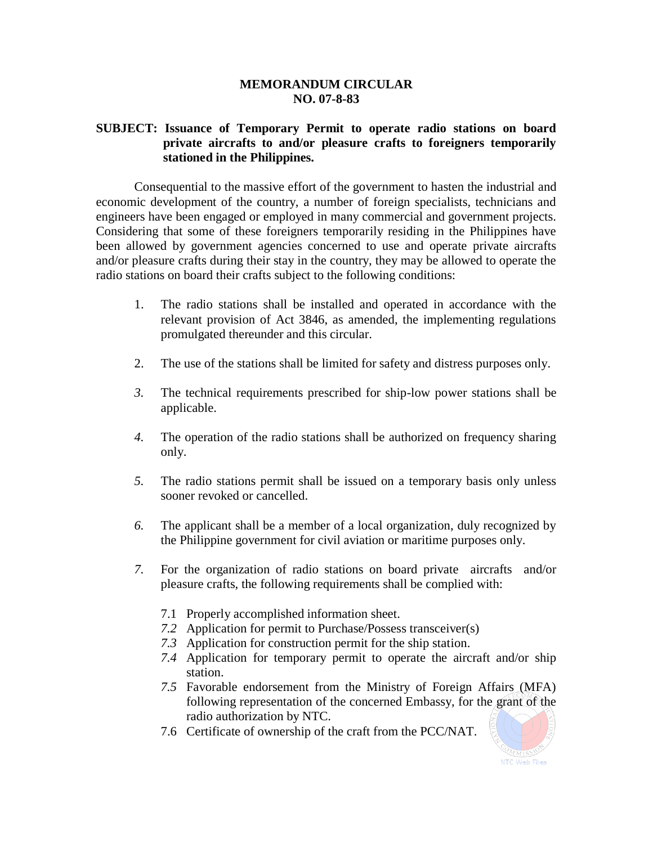## **MEMORANDUM CIRCULAR NO. 07-8-83**

## **SUBJECT: Issuance of Temporary Permit to operate radio stations on board private aircrafts to and/or pleasure crafts to foreigners temporarily stationed in the Philippines.**

Consequential to the massive effort of the government to hasten the industrial and economic development of the country, a number of foreign specialists, technicians and engineers have been engaged or employed in many commercial and government projects. Considering that some of these foreigners temporarily residing in the Philippines have been allowed by government agencies concerned to use and operate private aircrafts and/or pleasure crafts during their stay in the country, they may be allowed to operate the radio stations on board their crafts subject to the following conditions:

- 1. The radio stations shall be installed and operated in accordance with the relevant provision of Act 3846, as amended, the implementing regulations promulgated thereunder and this circular.
- 2. The use of the stations shall be limited for safety and distress purposes only.
- *3.* The technical requirements prescribed for ship-low power stations shall be applicable.
- *4.* The operation of the radio stations shall be authorized on frequency sharing only.
- *5.* The radio stations permit shall be issued on a temporary basis only unless sooner revoked or cancelled.
- *6.* The applicant shall be a member of a local organization, duly recognized by the Philippine government for civil aviation or maritime purposes only.
- *7.* For the organization of radio stations on board private aircrafts and/or pleasure crafts, the following requirements shall be complied with:
	- 7.1 Properly accomplished information sheet.
	- *7.2* Application for permit to Purchase/Possess transceiver(s)
	- *7.3* Application for construction permit for the ship station.
	- *7.4* Application for temporary permit to operate the aircraft and/or ship station.
	- *7.5* Favorable endorsement from the Ministry of Foreign Affairs (MFA) following representation of the concerned Embassy, for the grant of the radio authorization by NTC.
	- 7.6 Certificate of ownership of the craft from the PCC/NAT.

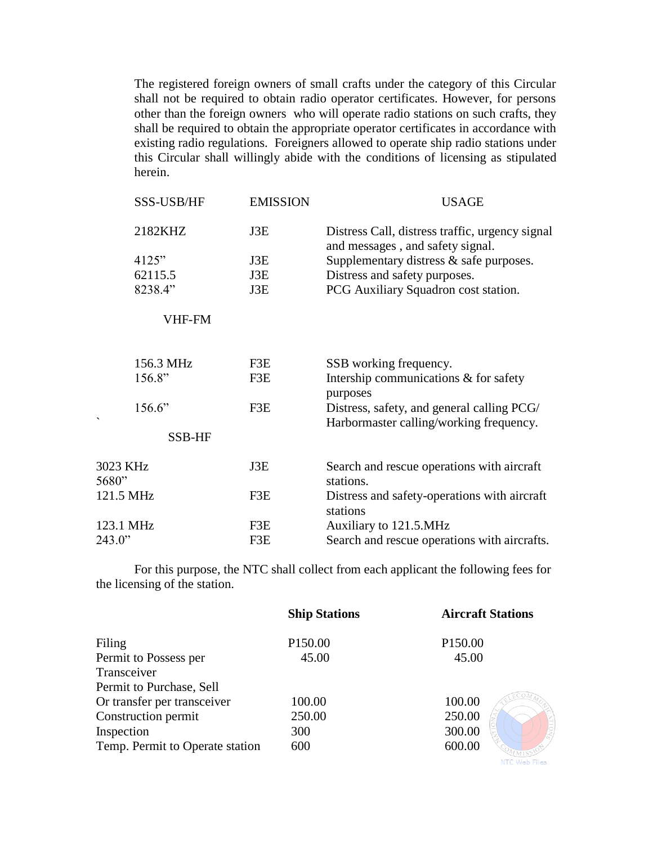The registered foreign owners of small crafts under the category of this Circular shall not be required to obtain radio operator certificates. However, for persons other than the foreign owners who will operate radio stations on such crafts, they shall be required to obtain the appropriate operator certificates in accordance with existing radio regulations. Foreigners allowed to operate ship radio stations under this Circular shall willingly abide with the conditions of licensing as stipulated herein.

| SSS-USB/HF        | <b>EMISSION</b> | <b>USAGE</b>                                                                          |  |
|-------------------|-----------------|---------------------------------------------------------------------------------------|--|
| 2182KHZ           | J3E             | Distress Call, distress traffic, urgency signal<br>and messages, and safety signal.   |  |
| 4125"             | J3E             | Supplementary distress $\&$ safe purposes.                                            |  |
| 62115.5           | J3E             | Distress and safety purposes.                                                         |  |
| 8238.4"           | J3E             | PCG Auxiliary Squadron cost station.                                                  |  |
| VHF-FM            |                 |                                                                                       |  |
| 156.3 MHz         | F3E             | SSB working frequency.                                                                |  |
| 156.8"            | F3E             | Intership communications & for safety<br>purposes                                     |  |
| 156.6"            | F3E             | Distress, safety, and general calling PCG/<br>Harbormaster calling/working frequency. |  |
| SSB-HF            |                 |                                                                                       |  |
| 3023 KHz<br>5680" | J3E             | Search and rescue operations with aircraft<br>stations.                               |  |
| 121.5 MHz         | F3E             | Distress and safety-operations with aircraft<br>stations                              |  |
| 123.1 MHz         | F3E             | Auxiliary to 121.5.MHz                                                                |  |
| 243.0"<br>F3E     |                 | Search and rescue operations with aircrafts.                                          |  |

For this purpose, the NTC shall collect from each applicant the following fees for the licensing of the station.

|                                 | <b>Ship Stations</b> | <b>Aircraft Stations</b> |
|---------------------------------|----------------------|--------------------------|
| Filing                          | P <sub>150.00</sub>  | P <sub>150.00</sub>      |
| Permit to Possess per           | 45.00                | 45.00                    |
| Transceiver                     |                      |                          |
| Permit to Purchase, Sell        |                      |                          |
| Or transfer per transceiver     | 100.00               | 100.00                   |
| Construction permit             | 250.00               | 250.00                   |
| Inspection                      | 300                  | 300.00                   |
| Temp. Permit to Operate station | 600                  | 600.00                   |